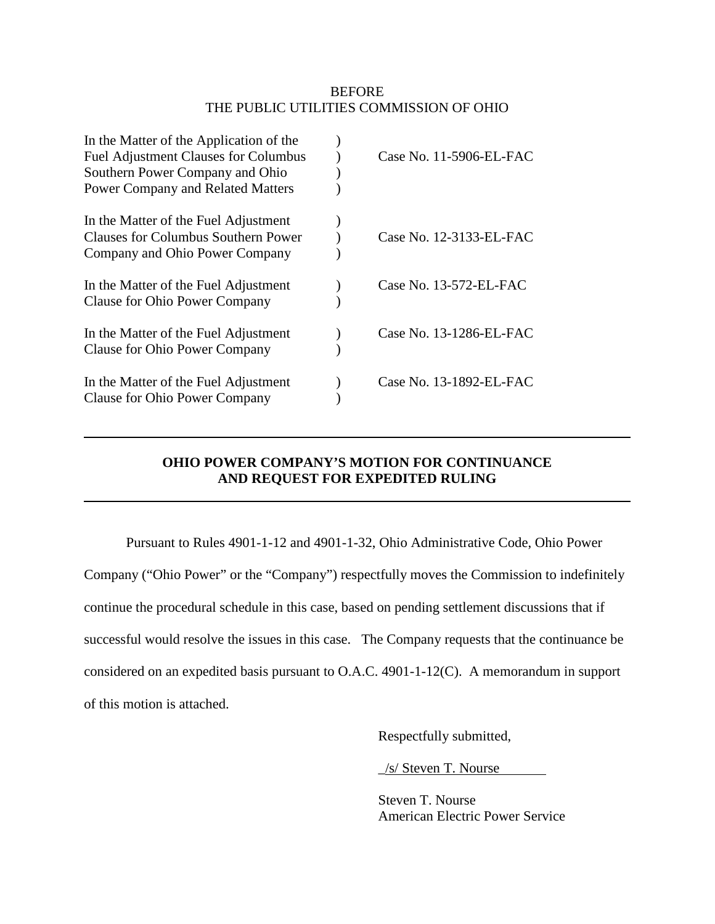### **BEFORE** THE PUBLIC UTILITIES COMMISSION OF OHIO

| In the Matter of the Application of the<br><b>Fuel Adjustment Clauses for Columbus</b><br>Southern Power Company and Ohio<br><b>Power Company and Related Matters</b> | Case No. 11-5906-EL-FAC   |
|-----------------------------------------------------------------------------------------------------------------------------------------------------------------------|---------------------------|
| In the Matter of the Fuel Adjustment<br><b>Clauses for Columbus Southern Power</b><br>Company and Ohio Power Company                                                  | Case No. 12-3133-EL-FAC   |
| In the Matter of the Fuel Adjustment<br><b>Clause for Ohio Power Company</b>                                                                                          | Case No. $13-572$ -EL-FAC |
| In the Matter of the Fuel Adjustment<br><b>Clause for Ohio Power Company</b>                                                                                          | Case No. 13-1286-EL-FAC   |
| In the Matter of the Fuel Adjustment<br><b>Clause for Ohio Power Company</b>                                                                                          | Case No. 13-1892-EL-FAC   |

## **OHIO POWER COMPANY'S MOTION FOR CONTINUANCE AND REQUEST FOR EXPEDITED RULING**

Pursuant to Rules 4901-1-12 and 4901-1-32, Ohio Administrative Code, Ohio Power Company ("Ohio Power" or the "Company") respectfully moves the Commission to indefinitely continue the procedural schedule in this case, based on pending settlement discussions that if successful would resolve the issues in this case. The Company requests that the continuance be considered on an expedited basis pursuant to O.A.C. 4901-1-12(C). A memorandum in support of this motion is attached.

Respectfully submitted,

\_/s/ Steven T. Nourse

Steven T. Nourse American Electric Power Service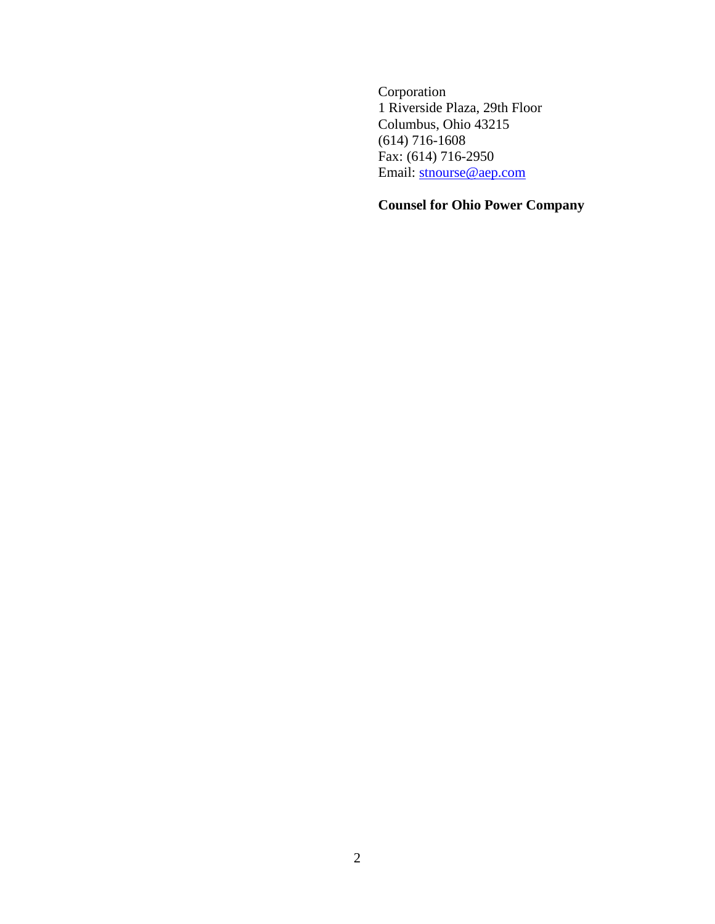Corporation 1 Riverside Plaza, 29th Floor Columbus, Ohio 43215 (614) 716-1608 Fax: (614) 716-2950 Email: stnourse@aep.com

## **Counsel for Ohio Power Company**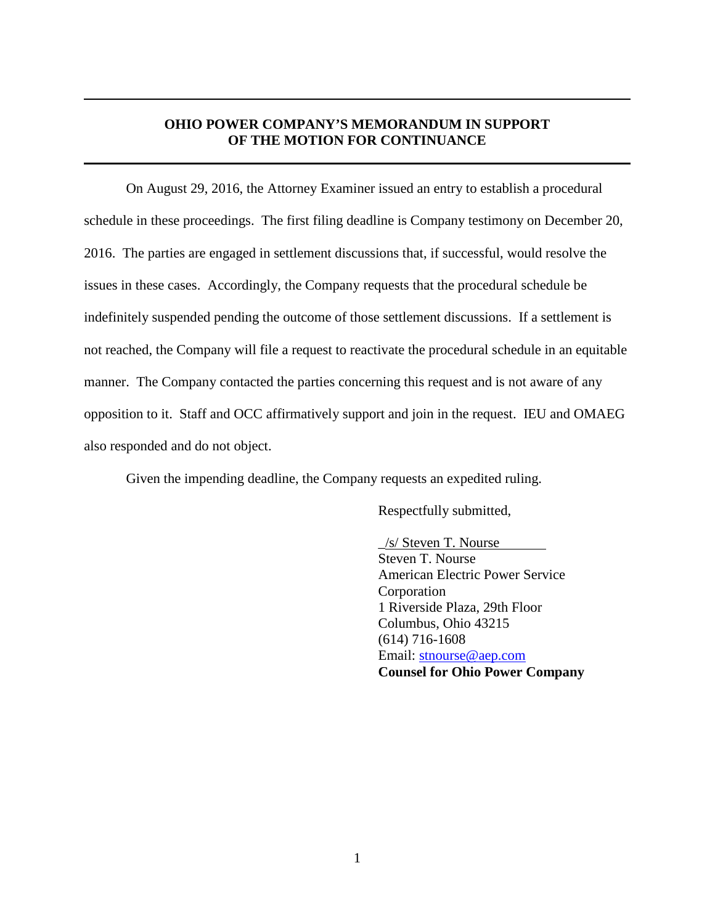#### **OHIO POWER COMPANY'S MEMORANDUM IN SUPPORT OF THE MOTION FOR CONTINUANCE**

On August 29, 2016, the Attorney Examiner issued an entry to establish a procedural schedule in these proceedings. The first filing deadline is Company testimony on December 20, 2016. The parties are engaged in settlement discussions that, if successful, would resolve the issues in these cases. Accordingly, the Company requests that the procedural schedule be indefinitely suspended pending the outcome of those settlement discussions. If a settlement is not reached, the Company will file a request to reactivate the procedural schedule in an equitable manner. The Company contacted the parties concerning this request and is not aware of any opposition to it. Staff and OCC affirmatively support and join in the request. IEU and OMAEG also responded and do not object.

Given the impending deadline, the Company requests an expedited ruling.

Respectfully submitted,

\_/s/ Steven T. Nourse Steven T. Nourse American Electric Power Service Corporation 1 Riverside Plaza, 29th Floor Columbus, Ohio 43215 (614) 716-1608 Email: stnourse@aep.com **Counsel for Ohio Power Company**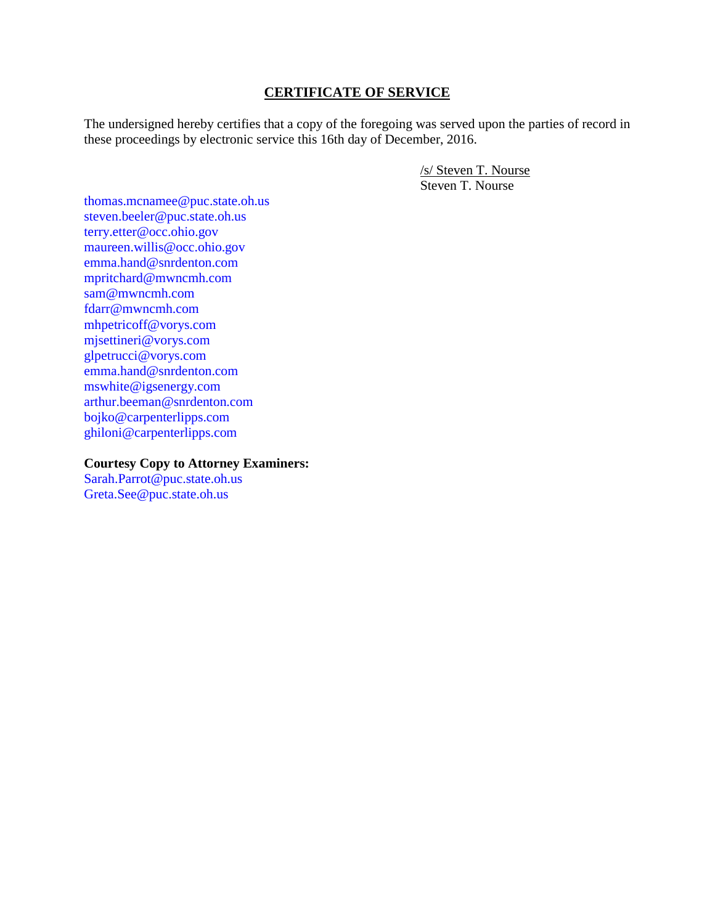#### **CERTIFICATE OF SERVICE**

The undersigned hereby certifies that a copy of the foregoing was served upon the parties of record in these proceedings by electronic service this 16th day of December, 2016.

> /s/ Steven T. Nourse Steven T. Nourse

thomas.mcnamee@puc.state.oh.us steven.beeler@puc.state.oh.us terry.etter@occ.ohio.gov maureen.willis@occ.ohio.gov emma.hand@snrdenton.com mpritchard@mwncmh.com sam@mwncmh.com fdarr@mwncmh.com mhpetricoff@vorys.com mjsettineri@vorys.com glpetrucci@vorys.com emma.hand@snrdenton.com mswhite@igsenergy.com arthur.beeman@snrdenton.com bojko@carpenterlipps.com ghiloni@carpenterlipps.com

**Courtesy Copy to Attorney Examiners:** 

Sarah.Parrot@puc.state.oh.us Greta.See@puc.state.oh.us